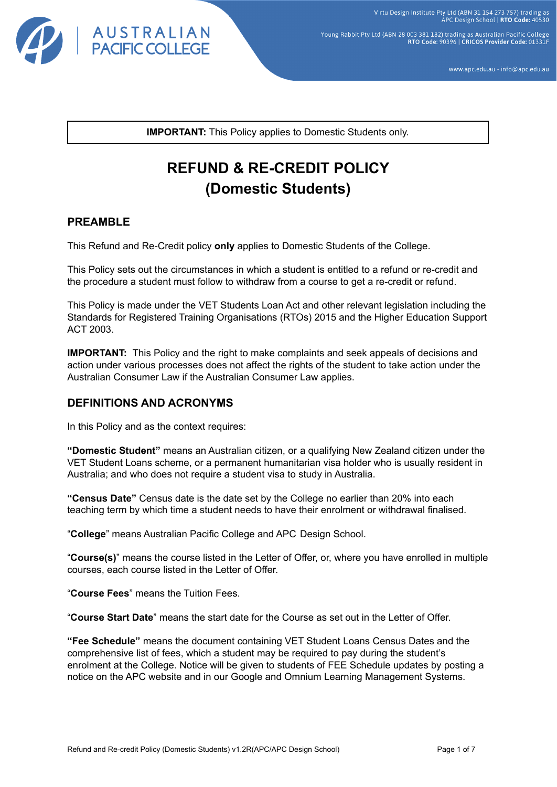

Young Rabbit Pty Ltd (ABN 28 003 381 182) trading as Australian Pacific College RTO Code: 90396 | CRICOS Provider Code: 01331F

www.apc.edu.au - info@apc.edu.au

**IMPORTANT:** This Policy applies to Domestic Students only.

# **REFUND & RE-CREDIT POLICY (Domestic Students)**

# **PREAMBLE**

This Refund and Re-Credit policy **only** applies to Domestic Students of the College.

This Policy sets out the circumstances in which a student is entitled to a refund or re-credit and the procedure a student must follow to withdraw from a course to get a re-credit or refund.

This Policy is made under the VET Students Loan Act and other relevant legislation including the Standards for Registered Training Organisations (RTOs) 2015 and the Higher Education Support ACT 2003.

**IMPORTANT:** This Policy and the right to make complaints and seek appeals of decisions and action under various processes does not affect the rights of the student to take action under the Australian Consumer Law if the Australian Consumer Law applies.

# **DEFINITIONS AND ACRONYMS**

In this Policy and as the context requires:

**"Domestic Student"** means an Australian citizen, or a qualifying New Zealand citizen under the VET Student Loans scheme, or a permanent humanitarian visa holder who is usually resident in Australia; and who does not require a student visa to study in Australia.

**"Census Date"** Census date is the date set by the College no earlier than 20% into each teaching term by which time a student needs to have their enrolment or withdrawal finalised.

"**College**" means Australian Pacific College and APC Design School.

"**Course(s)**" means the course listed in the Letter of Offer, or, where you have enrolled in multiple courses, each course listed in the Letter of Offer.

"**Course Fees**" means the Tuition Fees.

"**Course Start Date**" means the start date for the Course as set out in the Letter of Offer.

**"Fee Schedule"** means the document containing VET Student Loans Census Dates and the comprehensive list of fees, which a student may be required to pay during the student's enrolment at the College. Notice will be given to students of FEE Schedule updates by posting a notice on the APC website and in our Google and Omnium Learning Management Systems.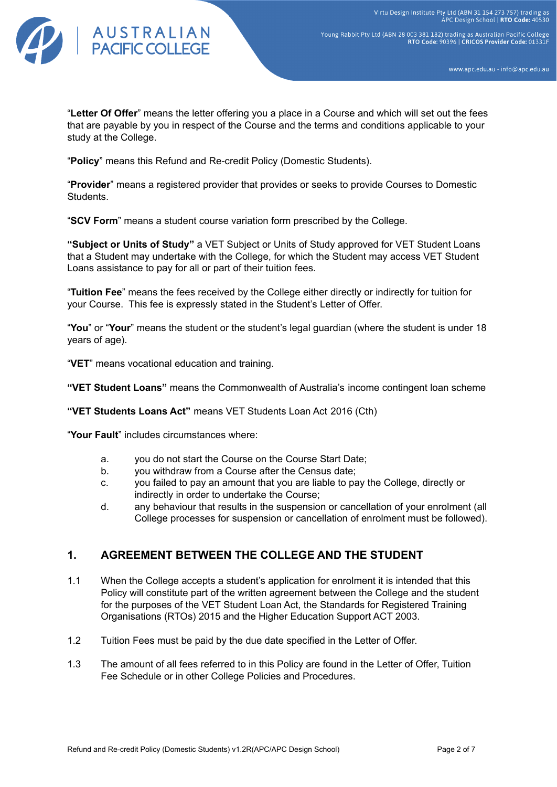

Young Rabbit Pty Ltd (ABN 28 003 381 182) trading as Australian Pacific College RTO Code: 90396 | CRICOS Provider Code: 01331F

www.apc.edu.au - info@apc.edu.au

"**Letter Of Offer**" means the letter offering you a place in a Course and which will set out the fees that are payable by you in respect of the Course and the terms and conditions applicable to your study at the College.

"**Policy**" means this Refund and Re-credit Policy (Domestic Students).

"**Provider**" means a registered provider that provides or seeks to provide Courses to Domestic Students.

"**SCV Form**" means a student course variation form prescribed by the College.

**"Subject or Units of Study"** a VET Subject or Units of Study approved for VET Student Loans that a Student may undertake with the College, for which the Student may access VET Student Loans assistance to pay for all or part of their tuition fees.

"**Tuition Fee**" means the fees received by the College either directly or indirectly for tuition for your Course. This fee is expressly stated in the Student's Letter of Offer.

"**You**" or "**Your**" means the student or the student's legal guardian (where the student is under 18 years of age).

"**VET**" means vocational education and training.

**"VET Student Loans"** means the Commonwealth of Australia's income contingent loan scheme

**"VET Students Loans Act"** means VET Students Loan Act 2016 (Cth)

"**Your Fault**" includes circumstances where:

- a. you do not start the Course on the Course Start Date;
- b. you withdraw from a Course after the Census date;
- c. you failed to pay an amount that you are liable to pay the College, directly or indirectly in order to undertake the Course;
- d. any behaviour that results in the suspension or cancellation of your enrolment (all College processes for suspension or cancellation of enrolment must be followed).

# **1. AGREEMENT BETWEEN THE COLLEGE AND THE STUDENT**

- 1.1 When the College accepts a student's application for enrolment it is intended that this Policy will constitute part of the written agreement between the College and the student for the purposes of the VET Student Loan Act, the Standards for Registered Training Organisations (RTOs) 2015 and the Higher Education Support ACT 2003.
- 1.2 Tuition Fees must be paid by the due date specified in the Letter of Offer.
- 1.3 The amount of all fees referred to in this Policy are found in the Letter of Offer, Tuition Fee Schedule or in other College Policies and Procedures.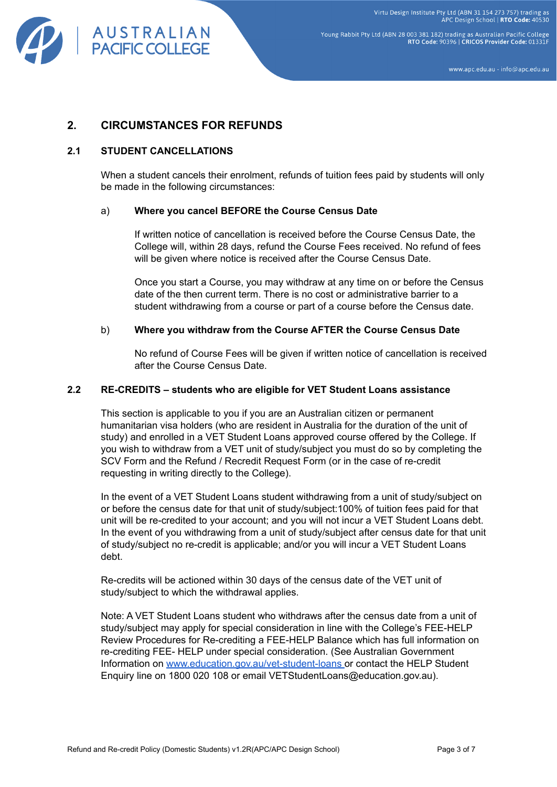

Young Rabbit Pty Ltd (ABN 28 003 381 182) trading as Australian Pacific College RTO Code: 90396 | CRICOS Provider Code: 01331F

www.apc.edu.au - info@apc.edu.au

# **2. CIRCUMSTANCES FOR REFUNDS**

### **2.1 STUDENT CANCELLATIONS**

When a student cancels their enrolment, refunds of tuition fees paid by students will only be made in the following circumstances:

#### a) **Where you cancel BEFORE the Course Census Date**

If written notice of cancellation is received before the Course Census Date, the College will, within 28 days, refund the Course Fees received. No refund of fees will be given where notice is received after the Course Census Date.

Once you start a Course, you may withdraw at any time on or before the Census date of the then current term. There is no cost or administrative barrier to a student withdrawing from a course or part of a course before the Census date.

#### b) **Where you withdraw from the Course AFTER the Course Census Date**

No refund of Course Fees will be given if written notice of cancellation is received after the Course Census Date.

#### **2.2 RE-CREDITS – students who are eligible for VET Student Loans assistance**

This section is applicable to you if you are an Australian citizen or permanent humanitarian visa holders (who are resident in Australia for the duration of the unit of study) and enrolled in a VET Student Loans approved course offered by the College. If you wish to withdraw from a VET unit of study/subject you must do so by completing the SCV Form and the Refund / Recredit Request Form (or in the case of re-credit requesting in writing directly to the College).

In the event of a VET Student Loans student withdrawing from a unit of study/subject on or before the census date for that unit of study/subject:100% of tuition fees paid for that unit will be re-credited to your account; and you will not incur a VET Student Loans debt. In the event of you withdrawing from a unit of study/subject after census date for that unit of study/subject no re-credit is applicable; and/or you will incur a VET Student Loans debt.

Re-credits will be actioned within 30 days of the census date of the VET unit of study/subject to which the withdrawal applies.

Note: A VET Student Loans student who withdraws after the census date from a unit of study/subject may apply for special consideration in line with the College's FEE-HELP Review Procedures for Re-crediting a FEE-HELP Balance which has full information on re-crediting FEE- HELP under special consideration. (See Australian Government Information on [www.education.gov.au/vet-student-loans](http://www.education.gov.au/vet-student-loans) or contact the HELP Student Enquiry line on 1800 020 108 or email VETStudentLoans@education.gov.au).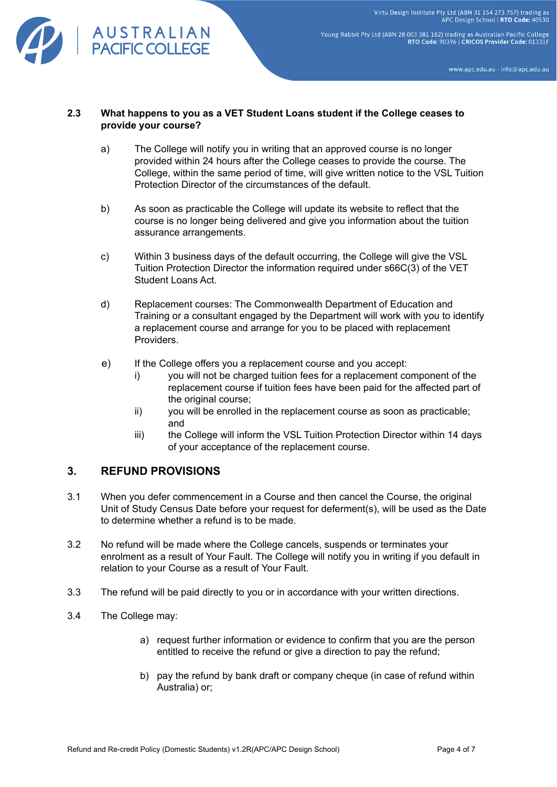

Young Rabbit Pty Ltd (ABN 28 003 381 182) trading as Australian Pacific College<br>RTO Code: 90396 | CRICOS Provider Code: 01331F

www.apc.edu.au - info@apc.edu.au

#### **2.3 What happens to you as a VET Student Loans student if the College ceases to provide your course?**

- a) The College will notify you in writing that an approved course is no longer provided within 24 hours after the College ceases to provide the course. The College, within the same period of time, will give written notice to the VSL Tuition Protection Director of the circumstances of the default.
- b) As soon as practicable the College will update its website to reflect that the course is no longer being delivered and give you information about the tuition assurance arrangements.
- c) Within 3 business days of the default occurring, the College will give the VSL Tuition Protection Director the information required under s66C(3) of the VET Student Loans Act.
- d) Replacement courses: The Commonwealth Department of Education and Training or a consultant engaged by the Department will work with you to identify a replacement course and arrange for you to be placed with replacement Providers.
- e) If the College offers you a replacement course and you accept:
	- i) you will not be charged tuition fees for a replacement component of the replacement course if tuition fees have been paid for the affected part of the original course;
	- ii) you will be enrolled in the replacement course as soon as practicable; and
	- iii) the College will inform the VSL Tuition Protection Director within 14 days of your acceptance of the replacement course.

# **3. REFUND PROVISIONS**

- 3.1 When you defer commencement in a Course and then cancel the Course, the original Unit of Study Census Date before your request for deferment(s), will be used as the Date to determine whether a refund is to be made.
- 3.2 No refund will be made where the College cancels, suspends or terminates your enrolment as a result of Your Fault. The College will notify you in writing if you default in relation to your Course as a result of Your Fault.
- 3.3 The refund will be paid directly to you or in accordance with your written directions.
- 3.4 The College may:
	- a) request further information or evidence to confirm that you are the person entitled to receive the refund or give a direction to pay the refund;
	- b) pay the refund by bank draft or company cheque (in case of refund within Australia) or;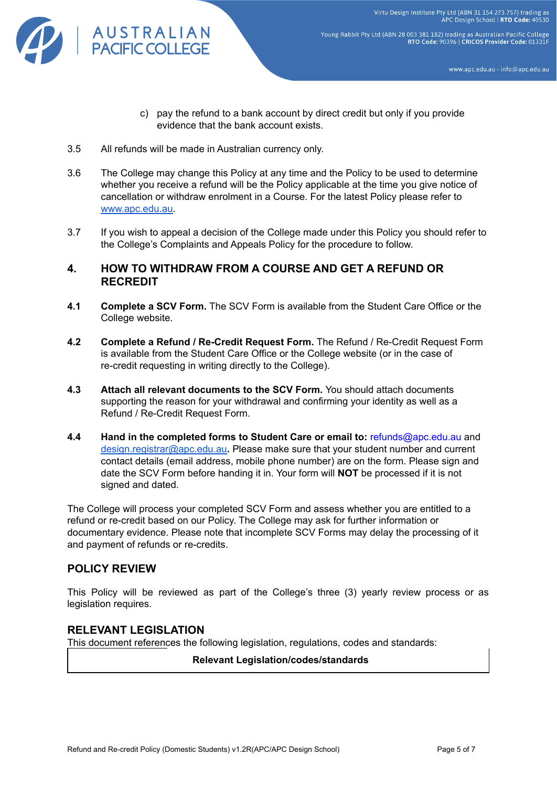

Young Rabbit Pty Ltd (ABN 28 003 381 182) trading as Australian Pacific College RTO Code: 90396 | CRICOS Provider Code: 01331F

www.apc.edu.au - info@apc.edu.au

- c) pay the refund to a bank account by direct credit but only if you provide evidence that the bank account exists.
- 3.5 All refunds will be made in Australian currency only.
- 3.6 The College may change this Policy at any time and the Policy to be used to determine whether you receive a refund will be the Policy applicable at the time you give notice of cancellation or withdraw enrolment in a Course. For the latest Policy please refer t[o](http://www.apc.edu.au/) [www.apc.edu.au](http://www.apc.edu.au/).
- 3.7 If you wish to appeal a decision of the College made under this Policy you should refer to the College's Complaints and Appeals Policy for the procedure to follow.

# **4. HOW TO WITHDRAW FROM A COURSE AND GET A REFUND OR RECREDIT**

- **4.1 Complete a SCV Form.** The SCV Form is available from the Student Care Office or the College website.
- **4.2 Complete a Refund / Re-Credit Request Form.** The Refund / Re-Credit Request Form is available from the Student Care Office or the College website (or in the case of re-credit requesting in writing directly to the College).
- **4.3 Attach all relevant documents to the SCV Form.** You should attach documents supporting the reason for your withdrawal and confirming your identity as well as a Refund / Re-Credit Request Form.
- **4.4 Hand in the completed forms to Student Care or email to:** refunds@apc.edu.au and [design.registrar@apc.edu.au](mailto:design.registrar@apc.edu.au)**.** Please make sure that your student number and current contact details (email address, mobile phone number) are on the form. Please sign and date the SCV Form before handing it in. Your form will **NOT** be processed if it is not signed and dated.

The College will process your completed SCV Form and assess whether you are entitled to a refund or re-credit based on our Policy. The College may ask for further information or documentary evidence. Please note that incomplete SCV Forms may delay the processing of it and payment of refunds or re-credits.

# **POLICY REVIEW**

This Policy will be reviewed as part of the College's three (3) yearly review process or as legislation requires.

# **RELEVANT LEGISLATION**

This document references the following legislation, regulations, codes and standards:

**Relevant Legislation/codes/standards**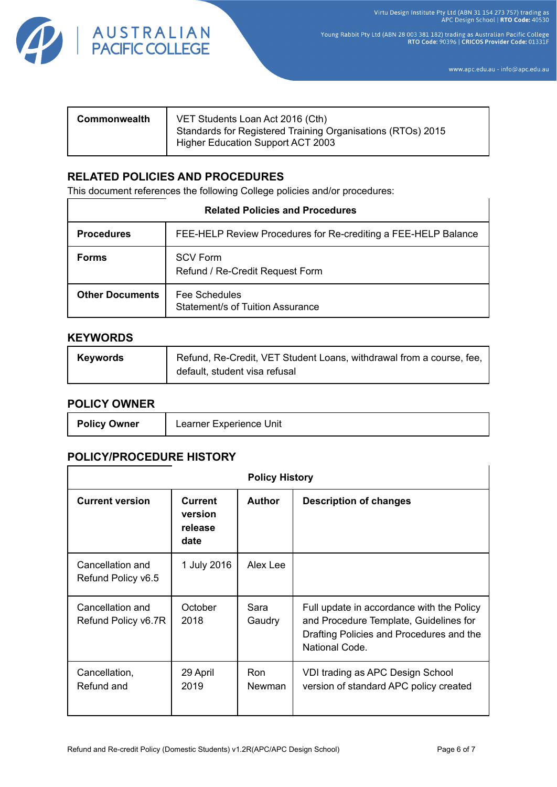

Young Rabbit Pty Ltd (ABN 28 003 381 182) trading as Australian Pacific College<br>RTO Code: 90396 | CRICOS Provider Code: 01331F

www.apc.edu.au - info@apc.edu.au

| VET Students Loan Act 2016 (Cth)<br>Commonwealth<br>Standards for Registered Training Organisations (RTOs) 2015<br>Higher Education Support ACT 2003 |  |
|------------------------------------------------------------------------------------------------------------------------------------------------------|--|
|------------------------------------------------------------------------------------------------------------------------------------------------------|--|

# **RELATED POLICIES AND PROCEDURES**

This document references the following College policies and/or procedures:

| <b>Related Policies and Procedures</b> |                                                                |  |  |  |
|----------------------------------------|----------------------------------------------------------------|--|--|--|
| <b>Procedures</b>                      | FEE-HELP Review Procedures for Re-crediting a FEE-HELP Balance |  |  |  |
| <b>Forms</b>                           | <b>SCV Form</b><br>Refund / Re-Credit Request Form             |  |  |  |
| <b>Other Documents</b>                 | Fee Schedules<br>Statement/s of Tuition Assurance              |  |  |  |

#### **KEYWORDS**

| <b>Keywords</b> | Refund, Re-Credit, VET Student Loans, withdrawal from a course, fee, |
|-----------------|----------------------------------------------------------------------|
|                 | default, student visa refusal                                        |

# **POLICY OWNER**

| <b>Policy Owner</b> | Learner Experience Unit |
|---------------------|-------------------------|
|---------------------|-------------------------|

# **POLICY/PROCEDURE HISTORY**

| <b>Policy History</b>                   |                                              |                |                                                                                                                                                   |  |
|-----------------------------------------|----------------------------------------------|----------------|---------------------------------------------------------------------------------------------------------------------------------------------------|--|
| <b>Current version</b>                  | <b>Current</b><br>version<br>release<br>date | <b>Author</b>  | <b>Description of changes</b>                                                                                                                     |  |
| Cancellation and<br>Refund Policy v6.5  | 1 July 2016                                  | Alex Lee       |                                                                                                                                                   |  |
| Cancellation and<br>Refund Policy v6.7R | October<br>2018                              | Sara<br>Gaudry | Full update in accordance with the Policy<br>and Procedure Template, Guidelines for<br>Drafting Policies and Procedures and the<br>National Code. |  |
| Cancellation,<br>Refund and             | 29 April<br>2019                             | Ron<br>Newman  | VDI trading as APC Design School<br>version of standard APC policy created                                                                        |  |